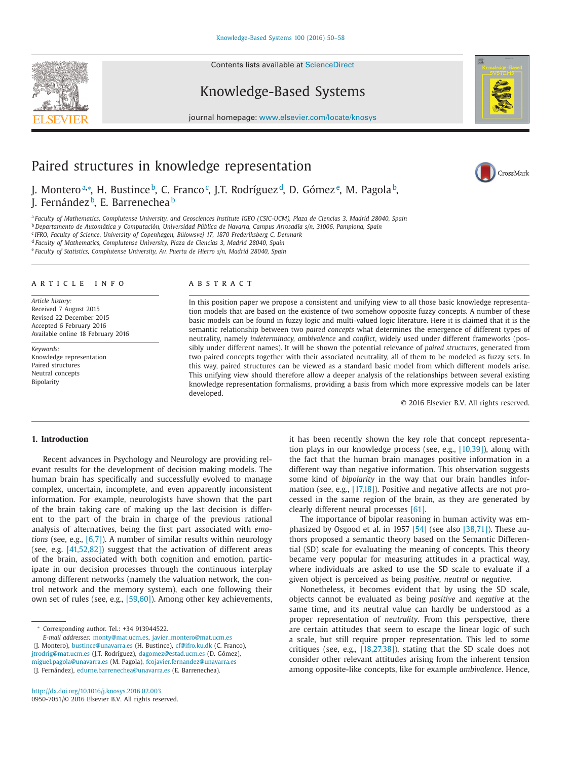Contents lists available at [ScienceDirect](http://www.ScienceDirect.com)

# Knowledge-Based Systems

journal homepage: [www.elsevier.com/locate/knosys](http://www.elsevier.com/locate/knosys)

# Paired structures in knowledge representation

J. Montero<sup>a,</sup>\*, H. Bustince<sup>b</sup>, C. Franco<sup>c</sup>, J.T. Rodríguez<sup>d</sup>, D. Gómez<sup>e</sup>, M. Pagola<sup>b</sup>, J. Fernández <sup>b</sup>, E. Barrenechea <sup>b</sup>

<sup>a</sup> Faculty of Mathematics, Complutense University, and Geosciences Institute IGEO (CSIC-UCM), Plaza de Ciencias 3, Madrid 28040, Spain

<sup>b</sup> Departamento de Automática y Computación, Universidad Pública de Navarra, Campus Arrosadía s/n, 31006, Pamplona, Spain

<sup>c</sup> *IFRO, Faculty of Science, University of Copenhagen, Bülowsvej 17, 1870 Frederiksberg C, Denmark*

<sup>d</sup> *Faculty of Mathematics, Complutense University, Plaza de Ciencias 3, Madrid 28040, Spain*

<sup>e</sup> *Faculty of Statistics, Complutense University, Av. Puerta de Hierro s/n, Madrid 28040, Spain*

### a r t i c l e i n f o

*Article history:* Received 7 August 2015 Revised 22 December 2015 Accepted 6 February 2016 Available online 18 February 2016

*Keywords:* Knowledge representation Paired structures Neutral concepts Bipolarity

# A B S T R A C T

In this position paper we propose a consistent and unifying view to all those basic knowledge representation models that are based on the existence of two somehow opposite fuzzy concepts. A number of these basic models can be found in fuzzy logic and multi-valued logic literature. Here it is claimed that it is the semantic relationship between two *paired concepts* what determines the emergence of different types of neutrality, namely *indeterminacy, ambivalence* and *conflict*, widely used under different frameworks (possibly under different names). It will be shown the potential relevance of *paired structures*, generated from two paired concepts together with their associated neutrality, all of them to be modeled as fuzzy sets. In this way, paired structures can be viewed as a standard basic model from which different models arise. This unifying view should therefore allow a deeper analysis of the relationships between several existing knowledge representation formalisms, providing a basis from which more expressive models can be later developed.

© 2016 Elsevier B.V. All rights reserved.

#### **1. Introduction**

Recent advances in Psychology and Neurology are providing relevant results for the development of decision making models. The human brain has specifically and successfully evolved to manage complex, uncertain, incomplete, and even apparently inconsistent information. For example, neurologists have shown that the part of the brain taking care of making up the last decision is different to the part of the brain in charge of the previous rational analysis of alternatives, being the first part associated with *emotions* (see, e.g., [\[6,7\]\)](#page-7-0). A number of similar results within neurology (see, e.g. [\[41,52,82\]\)](#page-8-0) suggest that the activation of different areas of the brain, associated with both cognition and emotion, participate in our decision processes through the continuous interplay among different networks (namely the valuation network, the control network and the memory system), each one following their own set of rules (see, e.g., [\[59,60\]\)](#page-8-0). Among other key achievements, it has been recently shown the key role that concept representation plays in our knowledge process (see, e.g., [\[10,39\]\)](#page-7-0), along with the fact that the human brain manages positive information in a different way than negative information. This observation suggests some kind of *bipolarity* in the way that our brain handles information (see, e.g., [\[17,18\]\)](#page-8-0). Positive and negative affects are not processed in the same region of the brain, as they are generated by clearly different neural processes [\[61\].](#page-8-0)

The importance of bipolar reasoning in human activity was emphasized by Osgood et al. in 1957 [\[54\]](#page-8-0) (see also [\[38,71\]\)](#page-8-0). These authors proposed a semantic theory based on the Semantic Differential (SD) scale for evaluating the meaning of concepts. This theory became very popular for measuring attitudes in a practical way, where individuals are asked to use the SD scale to evaluate if a given object is perceived as being *positive, neutral* or *negative*.

Nonetheless, it becomes evident that by using the SD scale, objects cannot be evaluated as being *positive* and *negative* at the same time, and its neutral value can hardly be understood as a proper representation of *neutrality*. From this perspective, there are certain attitudes that seem to escape the linear logic of such a scale, but still require proper representation. This led to some critiques (see, e.g., [\[18,27,38\]\)](#page-8-0), stating that the SD scale does not consider other relevant attitudes arising from the inherent tension among opposite-like concepts, like for example *ambivalence*. Hence,







<sup>∗</sup> Corresponding author. Tel.: +34 913944522.

*E-mail addresses:* [monty@mat.ucm.es,](mailto:monty@mat.ucm.es) [javier\\_montero@mat.ucm.es](mailto:javier_montero@mat.ucm.es) (J. Montero), [bustince@unavarra.es](mailto:bustince@unavarra.es) (H. Bustince), [cf@ifro.ku.dk](mailto:cf@ifro.ku.dk) (C. Franco), jtrodrig@mat.ucm.es (J.T. Rodríguez), [dagomez@estad.ucm.es](mailto:jtrodrig@mat.ucm.es) (D. Gómez), miguel.pagola@unavarra.es (M. Pagola), [fcojavier.fernandez@unavarra.es](mailto:miguel.pagola@unavarra.es) (J. Fernández), [edurne.barrenechea@unavarra.es](mailto:fcojavier.fernandez@unavarra.es) (E. Barrenechea).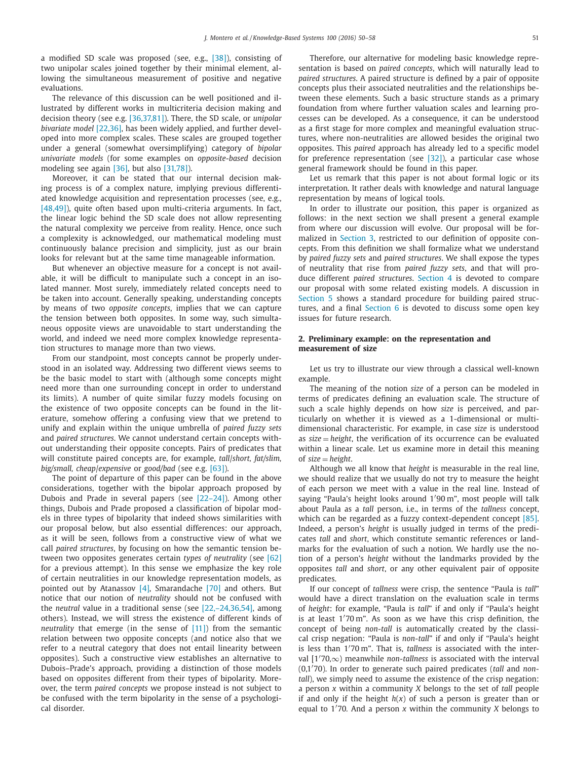a modified SD scale was proposed (see, e.g., [\[38\]\)](#page-8-0), consisting of two unipolar scales joined together by their minimal element, allowing the simultaneous measurement of positive and negative evaluations.

The relevance of this discussion can be well positioned and illustrated by different works in multicriteria decision making and decision theory (see e.g. [\[36,37,81\]\)](#page-8-0). There, the SD scale, or *unipolar bivariate model* [\[22,36\],](#page-8-0) has been widely applied, and further developed into more complex scales. These scales are grouped together under a general (somewhat oversimplifying) category of *bipolar univariate models* (for some examples on *opposite-based* decision modeling see again [\[36\],](#page-8-0) but also [\[31,78\]\)](#page-8-0).

Moreover, it can be stated that our internal decision making process is of a complex nature, implying previous differentiated knowledge acquisition and representation processes (see, e.g., [\[48,49\]\)](#page-8-0), quite often based upon multi-criteria arguments. In fact, the linear logic behind the SD scale does not allow representing the natural complexity we perceive from reality. Hence, once such a complexity is acknowledged, our mathematical modeling must continuously balance precision and simplicity, just as our brain looks for relevant but at the same time manageable information.

But whenever an objective measure for a concept is not available, it will be difficult to manipulate such a concept in an isolated manner. Most surely, immediately related concepts need to be taken into account. Generally speaking, understanding concepts by means of two *opposite concepts*, implies that we can capture the tension between both opposites. In some way, such simultaneous opposite views are unavoidable to start understanding the world, and indeed we need more complex knowledge representation structures to manage more than two views.

From our standpoint, most concepts cannot be properly understood in an isolated way. Addressing two different views seems to be the basic model to start with (although some concepts might need more than one surrounding concept in order to understand its limits). A number of quite similar fuzzy models focusing on the existence of two opposite concepts can be found in the literature, somehow offering a confusing view that we pretend to unify and explain within the unique umbrella of *paired fuzzy sets* and *paired structures*. We cannot understand certain concepts without understanding their opposite concepts. Pairs of predicates that will constitute paired concepts are, for example, *tall*/*short, fat/slim, big/small, cheap*/*expensive* or *good/bad* (see e.g. [\[63\]\)](#page-8-0).

The point of departure of this paper can be found in the above considerations, together with the bipolar approach proposed by Dubois and Prade in several papers (see [\[22–24\]\)](#page-8-0). Among other things, Dubois and Prade proposed a classification of bipolar models in three types of bipolarity that indeed shows similarities with our proposal below, but also essential differences: our approach, as it will be seen, follows from a constructive view of what we call *paired structures*, by focusing on how the semantic tension between two opposites generates certain *types of neutrality* (see [\[62\]](#page-8-0) for a previous attempt). In this sense we emphasize the key role of certain neutralities in our knowledge representation models, as pointed out by Atanassov [\[4\],](#page-7-0) Smarandache [\[70\]](#page-8-0) and others. But notice that our notion of *neutrality* should not be confused with the *neutral* value in a traditional sense (see [\[22,–24,36,54\],](#page-8-0) among others). Instead, we will stress the existence of different kinds of *neutrality* that emerge (in the sense of [\[11\]\)](#page-7-0) from the semantic relation between two opposite concepts (and notice also that we refer to a neutral category that does not entail linearity between opposites). Such a constructive view establishes an alternative to Dubois–Prade's approach, providing a distinction of those models based on opposites different from their types of bipolarity*.* Moreover, the term *paired concepts* we propose instead is not subject to be confused with the term bipolarity in the sense of a psychological disorder.

Therefore, our alternative for modeling basic knowledge representation is based on *paired concepts*, which will naturally lead to *paired structures*. A paired structure is defined by a pair of opposite concepts plus their associated neutralities and the relationships between these elements. Such a basic structure stands as a primary foundation from where further valuation scales and learning processes can be developed. As a consequence, it can be understood as a first stage for more complex and meaningful evaluation structures, where non-neutralities are allowed besides the original two opposites. This *paired* approach has already led to a specific model for preference representation (see  $[32]$ ), a particular case whose general framework should be found in this paper.

Let us remark that this paper is not about formal logic or its interpretation. It rather deals with knowledge and natural language representation by means of logical tools.

In order to illustrate our position, this paper is organized as follows: in the next section we shall present a general example from where our discussion will evolve. Our proposal will be formalized in [Section](#page-3-0) 3, restricted to our definition of opposite concepts. From this definition we shall formalize what we understand by *paired fuzzy sets* and *paired structures*. We shall expose the types of neutrality that rise from *paired fuzzy sets*, and that will produce different *paired structures*. [Section](#page-5-0) 4 is devoted to compare our proposal with some related existing models. A discussion in [Section](#page-6-0) 5 shows a standard procedure for building paired structures, and a final [Section](#page-7-0) 6 is devoted to discuss some open key issues for future research.

### **2. Preliminary example: on the representation and measurement of size**

Let us try to illustrate our view through a classical well-known example.

The meaning of the notion *size* of a person can be modeled in terms of predicates defining an evaluation scale. The structure of such a scale highly depends on how *size* is perceived, and particularly on whether it is viewed as a 1-dimensional or multidimensional characteristic. For example, in case *size* is understood as *size* = *height*, the verification of its occurrence can be evaluated within a linear scale. Let us examine more in detail this meaning of  $size = height$ .

Although we all know that *height* is measurable in the real line, we should realize that we usually do not try to measure the height of each person we meet with a value in the real line. Instead of saying "Paula's height looks around 1 90 m", most people will talk about Paula as a *tall* person, i.e., in terms of the *tallness* concept, which can be regarded as a fuzzy context-dependent concept [\[85\].](#page-8-0) Indeed, a person's *height* is usually judged in terms of the predicates *tall* and *short*, which constitute semantic references or landmarks for the evaluation of such a notion. We hardly use the notion of a person's *height* without the landmarks provided by the opposites *tall* and *short*, or any other equivalent pair of opposite predicates.

If our concept of *tallness* were crisp, the sentence "Paula is *tall*" would have a direct translation on the evaluation scale in terms of *height*: for example, "Paula is *tall*" if and only if "Paula's height is at least 1 70 m". As soon as we have this crisp definition, the concept of being *non-tall* is automatically created by the classical crisp negation: "Paula is *non-tall*" if and only if "Paula's height is less than 1 70 m". That is, *tallness* is associated with the interval [1 70*,*∞) meanwhile *non-tallness* is associated with the interval (0,1 70). In order to generate such paired predicates (*tall* and *nontall*), we simply need to assume the existence of the crisp negation: a person *x* within a community *X* belongs to the set of *tall* people if and only if the height *h*(*x*) of such a person is greater than or equal to 1 70*.* And a person *x* within the community *X* belongs to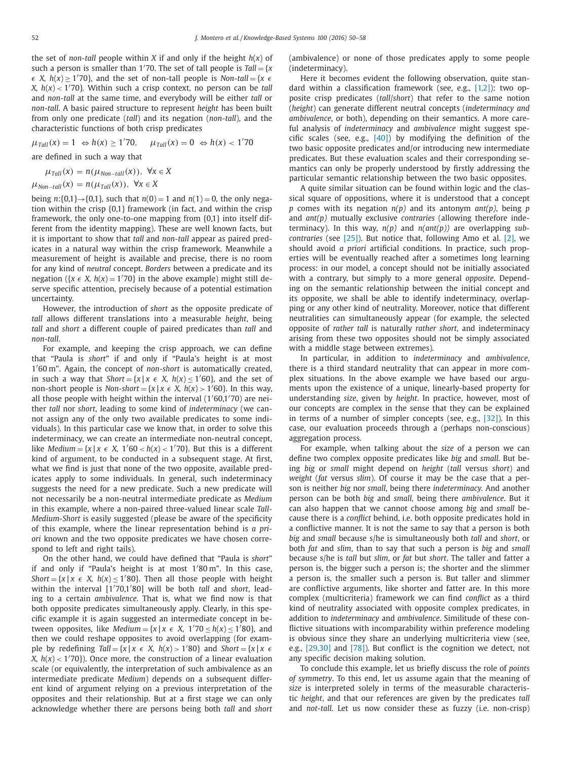the set of *non-tall* people within *X* if and only if the height *h*(*x*) of such a person is smaller than  $1'$ 70. The set of tall people is  $Tall = \{x \}$  $\epsilon$  *X,*  $h(x) \ge 1'70$ , and the set of non-tall people is *Non-tall* = {*x*  $\epsilon$ *X,*  $h(x) < 1'70$ *}*. Within such a crisp context, no person can be *tall* and *non-tall* at the same time, and everybody will be either *tall* or *non-tall*. A basic paired structure to represent *height* has been built from only one predicate (*tall*) and its negation (*non-tall*), and the characteristic functions of both crisp predicates

$$
\mu_{Tall}(x) = 1 \Leftrightarrow h(x) \ge 1'70
$$
,  $\mu_{Tall}(x) = 0 \Leftrightarrow h(x) < 1'70$   
are defined in such a way that

$$
\mu_{Tall}(x) = n(\mu_{Non-tall}(x)), \ \forall x \in X
$$
  

$$
\mu_{Non-tall}(x) = n(\mu_{Tall}(x)), \ \forall x \in X
$$

being *n*:{0,1} $\rightarrow$ {0,1}*,* such that *n*(0) = 1 and *n*(1) = 0*,* the only negation within the crisp {0,1} framework (in fact, and within the crisp framework, the only one-to-one mapping from {0,1} into itself different from the identity mapping). These are well known facts, but it is important to show that *tall* and *non-tall* appear as paired predicates in a natural way within the crisp framework. Meanwhile a measurement of height is available and precise, there is no room for any kind of *neutral* concept. *Borders* between a predicate and its negation ( $\{x \in X, h(x) = 170\}$  in the above example) might still deserve specific attention, precisely because of a potential estimation uncertainty.

However, the introduction of *short* as the opposite predicate of *tall* allows different translations into a measurable *height*, being *tall* and *short* a different couple of paired predicates than *tall* and *non-tall*.

For example, and keeping the crisp approach, we can define that "Paula is *short*" if and only if "Paula's height is at most 1 60 m". Again, the concept of *non-short* is automatically created, in such a way that  $Short = \{x \mid x \in X, h(x) \leq 1/60\}$ , and the set of non-short people is *Non-short* =  $\{x \mid x \in X, h(x) > 1'60\}$ . In this way, all those people with height within the interval (1 60,1 70) are neither *tall* nor *short*, leading to some kind of *indeterminacy* (we cannot assign any of the only two available predicates to some individuals). In this particular case we know that, in order to solve this indeterminacy, we can create an intermediate non-neutral concept, like *Medium* =  $\{x \mid x \in X, 1'60 < h(x) < 1'70\}$ . But this is a different kind of argument, to be conducted in a subsequent stage. At first, what we find is just that none of the two opposite, available predicates apply to some individuals. In general, such indeterminacy suggests the need for a new predicate. Such a new predicate will not necessarily be a non-neutral intermediate predicate as *Medium* in this example, where a non-paired three-valued linear scale *Tall-Medium-Short* is easily suggested (please be aware of the specificity of this example, where the linear representation behind is *a priori* known and the two opposite predicates we have chosen correspond to left and right tails).

On the other hand, we could have defined that "Paula is *short*" if and only if "Paula's height is at most 1 80 m". In this case, *Short* =  $\{x \mid x \in X, h(x) \leq 1'80\}$ . Then all those people with height within the interval [1 70,1 80] will be both *tall* and *short*, leading to a certain *ambivalence*. That is, what we find now is that both opposite predicates simultaneously apply. Clearly, in this specific example it is again suggested an intermediate concept in between opposites, like *Medium* =  $\{x \mid x \in X, \ 1'70 \le h(x) \le 1'80\}$ , and then we could reshape opposites to avoid overlapping (for example by redefining  $Tall = \{x \mid x \in X, h(x) > 1/80\}$  and  $Short = \{x \mid x \in X\}$ *X,*  $h(x) < 1'70$ }). Once more, the construction of a linear evaluation scale (or equivalently, the interpretation of such ambivalence as an intermediate predicate *Medium*) depends on a subsequent different kind of argument relying on a previous interpretation of the opposites and their relationship. But at a first stage we can only acknowledge whether there are persons being both *tall* and *short* (ambivalence) or none of those predicates apply to some people (indeterminacy).

Here it becomes evident the following observation, quite standard within a classification framework (see, e.g., [\[1,2\]\)](#page-7-0): two opposite crisp predicates (*tall*/*short*) that refer to the same notion (*height*) can generate different neutral concepts (*indeterminacy and ambivalence*, or both), depending on their semantics. A more careful analysis of *indeterminacy* and *ambivalence* might suggest specific scales (see, e.g.,  $[40]$ ) by modifying the definition of the two basic opposite predicates and/or introducing new intermediate predicates. But these evaluation scales and their corresponding semantics can only be properly understood by firstly addressing the particular semantic relationship between the two basic opposites.

A quite similar situation can be found within logic and the classical square of oppositions, where it is understood that a concept *p* comes with its negation *n(p)* and its antonym *ant(p)*, being *p* and *ant(p)* mutually exclusive *contraries* (allowing therefore indeterminacy). In this way,  $n(p)$  and  $n(ant(p))$  are overlapping sub*contraries* (see [\[25\]\)](#page-8-0). But notice that, following Amo et al. [\[2\],](#page-7-0) we should avoid *a priori* artificial conditions. In practice, such properties will be eventually reached after a sometimes long learning process: in our model, a concept should not be initially associated with a contrary, but simply to a more general *opposite*. Depending on the semantic relationship between the initial concept and its opposite, we shall be able to identify indeterminacy, overlapping or any other kind of neutrality. Moreover, notice that different neutralities can simultaneously appear (for example, the selected opposite of *rather tall* is naturally *rather short*, and indeterminacy arising from these two opposites should not be simply associated with a middle stage between extremes).

In particular, in addition to *indeterminacy* and *ambivalence*, there is a third standard neutrality that can appear in more complex situations. In the above example we have based our arguments upon the existence of a unique, linearly-based property for understanding *size*, given by *height*. In practice, however, most of our concepts are complex in the sense that they can be explained in terms of a number of simpler concepts (see, e.g., [\[32\]\)](#page-8-0). In this case, our evaluation proceeds through a (perhaps non-conscious) aggregation process.

For example, when talking about the *size* of a person we can define two complex opposite predicates like *big* and *small*. But being *big* or *small* might depend on *height* (*tall* versus *short*) and *weight* (*fat* versus *slim*). Of course it may be the case that a person is neither *big* nor *small*, being there *indeterminacy.* And another person can be both *big* and *small*, being there *ambivalence*. But it can also happen that we cannot choose among *big* and *small* because there is a *conflict* behind, i.e. both opposite predicates hold in a conflictive manner. It is not the same to say that a person is both *big* and *small* because s/he is simultaneously both *tall* and *short*, or both *fat* and *slim*, than to say that such a person is *big* and *small* because s/he is *tall* but *slim*, or *fat* but *short*. The taller and fatter a person is, the bigger such a person is; the shorter and the slimmer a person is, the smaller such a person is. But taller and slimmer are conflictive arguments, like shorter and fatter are. In this more complex (multicriteria) framework we can find *conflict* as a third kind of neutrality associated with opposite complex predicates, in addition to *indeterminacy* and *ambivalence*. Similitude of these conflictive situations with incomparability within preference modeling is obvious since they share an underlying multicriteria view (see, e.g., [\[29,30\]](#page-8-0) and [\[78\]\)](#page-8-0). But conflict is the cognition we detect, not any specific decision making solution.

To conclude this example, let us briefly discuss the role of *points of symmetry*. To this end, let us assume again that the meaning of *size* is interpreted solely in terms of the measurable characteristic *height*, and that our references are given by the predicates *tall* and *not-tall*. Let us now consider these as fuzzy (i.e. non-crisp)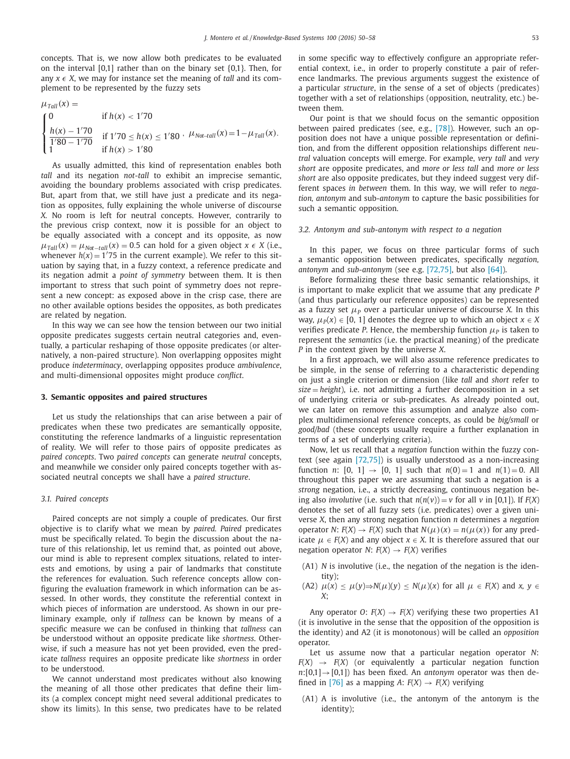<span id="page-3-0"></span>concepts. That is, we now allow both predicates to be evaluated on the interval [0,1] rather than on the binary set {0,1}. Then, for any  $x \in X$ , we may for instance set the meaning of *tall* and its complement to be represented by the fuzzy sets

$$
\mu_{Tall}(x) =
$$
\n
$$
\begin{cases}\n0 & \text{if } h(x) < 1'70 \\
\frac{h(x) - 1'70}{1'80 - 1'70} & \text{if } 1'70 \le h(x) \le 1'80 \\
\frac{h(x) - 1'70}{1'80 - 1'80} & \text{if } h(x) > 1'80\n\end{cases}
$$

As usually admitted, this kind of representation enables both *tall* and its negation *not-tall* to exhibit an imprecise semantic, avoiding the boundary problems associated with crisp predicates. But, apart from that, we still have just a predicate and its negation as opposites, fully explaining the whole universe of discourse *X.* No room is left for neutral concepts. However, contrarily to the previous crisp context, now it is possible for an object to be equally associated with a concept and its opposite, as now  $\mu_{Tall}(x) = \mu_{Not-tall}(x) = 0.5$  can hold for a given object  $x \in X$  (i.e., whenever  $h(x) = 1/75$  in the current example). We refer to this situation by saying that, in a fuzzy context, a reference predicate and its negation admit a *point of symmetry* between them. It is then important to stress that such point of symmetry does not represent a new concept: as exposed above in the crisp case, there are no other available options besides the opposites, as both predicates are related by negation.

In this way we can see how the tension between our two initial opposite predicates suggests certain neutral categories and, eventually, a particular reshaping of those opposite predicates (or alternatively, a non-paired structure). Non overlapping opposites might produce *indeterminacy*, overlapping opposites produce *ambivalence*, and multi-dimensional opposites might produce *conflict*.

# **3. Semantic opposites and paired structures**

Let us study the relationships that can arise between a pair of predicates when these two predicates are semantically opposite, constituting the reference landmarks of a linguistic representation of reality. We will refer to those pairs of opposite predicates as *paired concepts*. Two *paired concepts* can generate *neutral* concepts, and meanwhile we consider only paired concepts together with associated neutral concepts we shall have a *paired structure*.

# *3.1. Paired concepts*

Paired concepts are not simply a couple of predicates. Our first objective is to clarify what we mean by *paired. Paired* predicates must be specifically related. To begin the discussion about the nature of this relationship, let us remind that, as pointed out above, our mind is able to represent complex situations, related to interests and emotions, by using a pair of landmarks that constitute the references for evaluation. Such reference concepts allow configuring the evaluation framework in which information can be assessed. In other words, they constitute the referential context in which pieces of information are understood. As shown in our preliminary example, only if *tallness* can be known by means of a specific measure we can be confused in thinking that *tallness* can be understood without an opposite predicate like *shortness*. Otherwise, if such a measure has not yet been provided, even the predicate *tallness* requires an opposite predicate like *shortness* in order to be understood.

We cannot understand most predicates without also knowing the meaning of all those other predicates that define their limits (a complex concept might need several additional predicates to show its limits). In this sense, two predicates have to be related

in some specific way to effectively configure an appropriate referential context, i.e., in order to properly constitute a pair of reference landmarks. The previous arguments suggest the existence of a particular *structure*, in the sense of a set of objects (predicates) together with a set of relationships (opposition, neutrality, etc.) between them.

Our point is that we should focus on the semantic opposition between paired predicates (see, e.g., [\[78\]\)](#page-8-0). However, such an opposition does not have a unique possible representation or definition, and from the different opposition relationships different *neutral* valuation concepts will emerge. For example, *very tall* and *very short* are opposite predicates, and *more or less tall* and *more or less short* are also opposite predicates, but they indeed suggest very different spaces *in between* them. In this way, we will refer to *negation, antonym* and sub-*antonym* to capture the basic possibilities for such a semantic opposition.

# *3.2. Antonym and sub-antonym with respect to a negation*

In this paper, we focus on three particular forms of such a semantic opposition between predicates, specifically *negation, antonym* and *sub-antonym* (see e.g. [\[72,75\],](#page-8-0) but also [\[64\]\)](#page-8-0).

Before formalizing these three basic semantic relationships, it is important to make explicit that we assume that any predicate *P* (and thus particularly our reference opposites) can be represented as a fuzzy set  $\mu$ <sup>p</sup> over a particular universe of discourse *X*. In this way,  $\mu_P(x) \in [0, 1]$  denotes the degree up to which an object  $x \in X$ verifies predicate *P*. Hence, the membership function  $\mu_p$  is taken to represent the *semantics* (i.e. the practical meaning) of the predicate *P* in the context given by the universe *X*.

In a first approach, we will also assume reference predicates to be simple, in the sense of referring to a characteristic depending on just a single criterion or dimension (like *tall* and *short* refer to *size* = *height*), i.e. not admitting a further decomposition in a set of underlying criteria or sub-predicates. As already pointed out, we can later on remove this assumption and analyze also complex multidimensional reference concepts, as could be *big/small* or *good/bad* (these concepts usually require a further explanation in terms of a set of underlying criteria).

Now, let us recall that a *negation* function within the fuzzy context (see again [\[72,75\]\)](#page-8-0) is usually understood as a non-increasing function *n*:  $[0, 1] \rightarrow [0, 1]$  such that  $n(0) = 1$  and  $n(1) = 0$ . All throughout this paper we are assuming that such a negation is a *strong* negation, i.e., a strictly decreasing, continuous negation being also *involutive* (i.e. such that  $n(n(v)) = v$  for all *v* in [0,1]). If  $F(X)$ denotes the set of all fuzzy sets (i.e. predicates) over a given universe *X*, then any strong negation function *n* determines a *negation* operator *N*:  $F(X) \rightarrow F(X)$  such that  $N(\mu)(x) = n(\mu(x))$  for any predicate  $\mu \in F(X)$  and any object  $x \in X$ . It is therefore assured that our negation operator *N*:  $F(X) \rightarrow F(X)$  verifies

- (A1) *N* is involutive (i.e., the negation of the negation is the identity);
- (A2)  $\mu(x) \leq \mu(y) \Rightarrow N(\mu)(y) \leq N(\mu)(x)$  for all  $\mu \in F(X)$  and  $x, y \in F(Y)$ *X*;

Any operator *O*:  $F(X) \rightarrow F(X)$  verifying these two properties A1 (it is involutive in the sense that the opposition of the opposition is the identity) and A2 (it is monotonous) will be called an *opposition* operator.

Let us assume now that a particular negation operator *N*:  $F(X) \rightarrow F(X)$  (or equivalently a particular negation function  $n:[0,1] \rightarrow [0,1]$ ) has been fixed. An *antonym* operator was then de-fined in [\[76\]](#page-8-0) as a mapping *A*:  $F(X) \rightarrow F(X)$  verifying

(A1) A is involutive (i.e., the antonym of the antonym is the identity);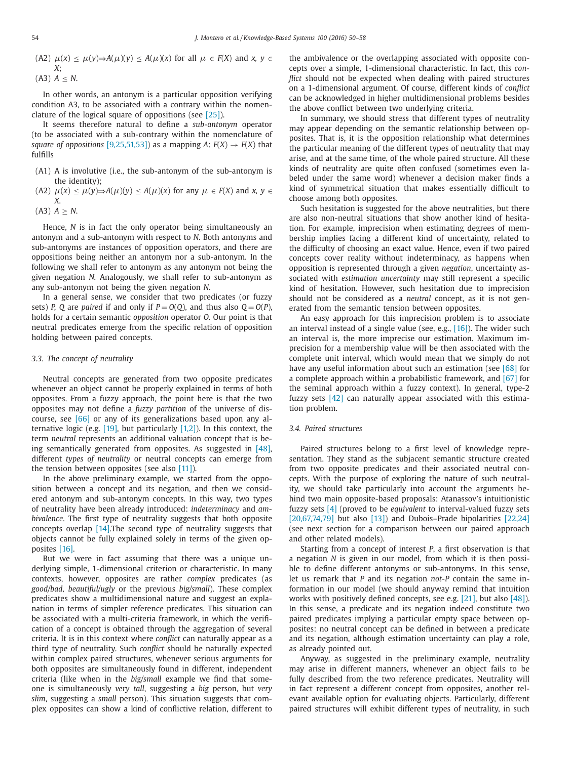(A2) 
$$
\mu(x) \le \mu(y) \Rightarrow A(\mu)(y) \le A(\mu)(x)
$$
 for all  $\mu \in F(X)$  and  $x, y \in X$ ;

$$
(A3) A \leq N.
$$

In other words, an antonym is a particular opposition verifying condition A3, to be associated with a contrary within the nomenclature of the logical square of oppositions (see [\[25\]\)](#page-8-0).

It seems therefore natural to define a *sub-antonym* operator (to be associated with a sub-contrary within the nomenclature of *square of oppositions* [\[9,25,51,53\]\)](#page-7-0) as a mapping *A*:  $F(X) \rightarrow F(X)$  that fulfills

- (A1) A is involutive (i.e., the sub-antonym of the sub-antonym is the identity);
- (A2)  $\mu(x) \leq \mu(y) \Rightarrow A(\mu)(y) \leq A(\mu)(x)$  for any  $\mu \in F(X)$  and  $x, y \in F(Y)$ *X*.
- $(A3)$   $A \geq N$ .

Hence, *N* is in fact the only operator being simultaneously an antonym and a sub-antonym with respect to *N*. Both antonyms and sub-antonyms are instances of opposition operators, and there are oppositions being neither an antonym nor a sub-antonym. In the following we shall refer to antonym as any antonym not being the given negation *N.* Analogously, we shall refer to sub-antonym as any sub-antonym not being the given negation *N*.

In a general sense, we consider that two predicates (or fuzzy sets) *P*, *Q* are *paired* if and only if  $P = O(Q)$ , and thus also  $Q = O(P)$ , holds for a certain semantic *opposition* operator *O*. Our point is that neutral predicates emerge from the specific relation of opposition holding between paired concepts.

#### *3.3. The concept of neutrality*

Neutral concepts are generated from two opposite predicates whenever an object cannot be properly explained in terms of both opposites. From a fuzzy approach, the point here is that the two opposites may not define a *fuzzy partition* of the universe of discourse, see [\[66\]](#page-8-0) or any of its generalizations based upon any alternative logic (e.g.  $[19]$ , but particularly  $[1,2]$ ). In this context, the term *neutral* represents an additional valuation concept that is being semantically generated from opposites. As suggested in [\[48\],](#page-8-0) different *types of neutrality* or neutral concepts can emerge from the tension between opposites (see also  $[11]$ ).

In the above preliminary example, we started from the opposition between a concept and its negation, and then we considered antonym and sub-antonym concepts. In this way, two types of neutrality have been already introduced: *indeterminacy* and *ambivalence*. The first type of neutrality suggests that both opposite concepts overlap [\[14\].](#page-8-0)The second type of neutrality suggests that objects cannot be fully explained solely in terms of the given opposites [\[16\].](#page-8-0)

But we were in fact assuming that there was a unique underlying simple, 1-dimensional criterion or characteristic. In many contexts, however, opposites are rather *complex* predicates (as *good/bad, beautiful/ugly* or the previous *big/small*). These complex predicates show a multidimensional nature and suggest an explanation in terms of simpler reference predicates. This situation can be associated with a multi-criteria framework, in which the verification of a concept is obtained through the aggregation of several criteria. It is in this context where *conflict* can naturally appear as a third type of neutrality. Such *conflict* should be naturally expected within complex paired structures, whenever serious arguments for both opposites are simultaneously found in different, independent criteria (like when in the *big/small* example we find that someone is simultaneously *very tall*, suggesting a *big* person, but *very slim*, suggesting a *small* person). This situation suggests that complex opposites can show a kind of conflictive relation, different to the ambivalence or the overlapping associated with opposite concepts over a simple, 1-dimensional characteristic. In fact, this *conflict* should not be expected when dealing with paired structures on a 1-dimensional argument. Of course, different kinds of *conflict* can be acknowledged in higher multidimensional problems besides the above conflict between two underlying criteria.

In summary, we should stress that different types of neutrality may appear depending on the semantic relationship between opposites. That is, it is the opposition relationship what determines the particular meaning of the different types of neutrality that may arise, and at the same time, of the whole paired structure. All these kinds of neutrality are quite often confused (sometimes even labeled under the same word) whenever a decision maker finds a kind of symmetrical situation that makes essentially difficult to choose among both opposites.

Such hesitation is suggested for the above neutralities, but there are also non-neutral situations that show another kind of hesitation. For example, imprecision when estimating degrees of membership implies facing a different kind of uncertainty, related to the difficulty of choosing an exact value. Hence, even if two paired concepts cover reality without indeterminacy, as happens when opposition is represented through a given *negation*, uncertainty associated with *estimation uncertainty* may still represent a specific kind of hesitation. However, such hesitation due to imprecision should not be considered as a *neutral* concept, as it is not generated from the semantic tension between opposites.

An easy approach for this imprecision problem is to associate an interval instead of a single value (see, e.g.,  $[16]$ ). The wider such an interval is, the more imprecise our estimation. Maximum imprecision for a membership value will be then associated with the complete unit interval, which would mean that we simply do not have any useful information about such an estimation (see  $[68]$  for a complete approach within a probabilistic framework, and  $[67]$  for the seminal approach within a fuzzy context). In general, type-2 fuzzy sets [\[42\]](#page-8-0) can naturally appear associated with this estimation problem.

#### *3.4. Paired structures*

Paired structures belong to a first level of knowledge representation. They stand as the subjacent semantic structure created from two opposite predicates and their associated neutral concepts. With the purpose of exploring the nature of such neutrality, we should take particularly into account the arguments behind two main opposite-based proposals: Atanassov's intuitionistic fuzzy sets [\[4\]](#page-7-0) (proved to be *equivalent* to interval-valued fuzzy sets  $[20,67,74,79]$  but also  $[13]$  and Dubois–Prade bipolarities  $[22,24]$ (see next section for a comparison between our paired approach and other related models).

Starting from a concept of interest *P*, a first observation is that a negation *N* is given in our model, from which it is then possible to define different antonyms or sub-antonyms. In this sense, let us remark that *P* and its negation *not-P* contain the same information in our model (we should anyway remind that intuition works with positively defined concepts, see e.g. [\[21\],](#page-8-0) but also [\[48\]\)](#page-8-0). In this sense, a predicate and its negation indeed constitute two paired predicates implying a particular empty space between opposites: no neutral concept can be defined in between a predicate and its negation, although estimation uncertainty can play a role, as already pointed out.

Anyway, as suggested in the preliminary example, neutrality may arise in different manners, whenever an object fails to be fully described from the two reference predicates. Neutrality will in fact represent a different concept from opposites, another relevant available option for evaluating objects. Particularly, different paired structures will exhibit different types of neutrality, in such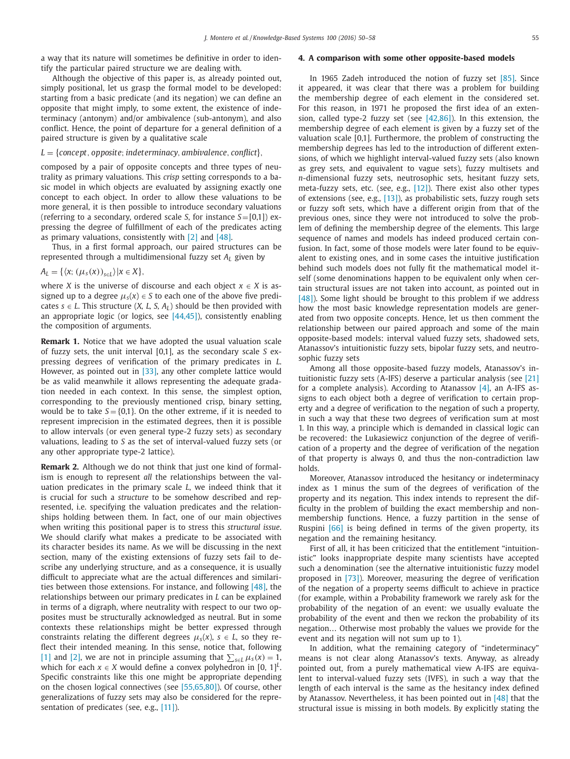<span id="page-5-0"></span>a way that its nature will sometimes be definitive in order to identify the particular paired structure we are dealing with.

Although the objective of this paper is, as already pointed out, simply positional, let us grasp the formal model to be developed: starting from a basic predicate (and its negation) we can define an opposite that might imply, to some extent, the existence of indeterminacy (antonym) and/or ambivalence (sub-antonym), and also conflict. Hence, the point of departure for a general definition of a paired structure is given by a qualitative scale

#### $L = \{concept, opposite; indeterminacy, amplitude, combined, conflict\},\$

composed by a pair of opposite concepts and three types of neutrality as primary valuations. This *crisp* setting corresponds to a basic model in which objects are evaluated by assigning exactly one concept to each object. In order to allow these valuations to be more general, it is then possible to introduce secondary valuations (referring to a secondary, ordered scale *S*, for instance  $S = [0,1]$ ) expressing the degree of fulfillment of each of the predicates acting as primary valuations, consistently with [\[2\]](#page-7-0) and [\[48\].](#page-8-0)

Thus, in a first formal approach, our paired structures can be represented through a multidimensional fuzzy set *A*<sub>L</sub> given by

# $A_L = \{ \langle x; (\mu_s(x))_{s \in L} \rangle | x \in X \},\$

where *X* is the universe of discourse and each object  $x \in X$  is assigned up to a degree  $\mu_s(x) \in S$  to each one of the above five predicates *s* ∈ *L*. This structure  $(X, L, S, A<sub>L</sub>)$  should be then provided with an appropriate logic (or logics, see [\[44,45\]\)](#page-8-0), consistently enabling the composition of arguments.

**Remark 1.** Notice that we have adopted the usual valuation scale of fuzzy sets, the unit interval [0,1], as the secondary scale *S* expressing degrees of verification of the primary predicates in *L*. However, as pointed out in [\[33\],](#page-8-0) any other complete lattice would be as valid meanwhile it allows representing the adequate gradation needed in each context. In this sense, the simplest option, corresponding to the previously mentioned crisp, binary setting, would be to take  $S = \{0,1\}$ . On the other extreme, if it is needed to represent imprecision in the estimated degrees, then it is possible to allow intervals (or even general type-2 fuzzy sets) as secondary valuations, leading to *S* as the set of interval-valued fuzzy sets (or any other appropriate type-2 lattice).

**Remark 2.** Although we do not think that just one kind of formalism is enough to represent *all* the relationships between the valuation predicates in the primary scale *L*, we indeed think that it is crucial for such a *structure* to be somehow described and represented, i.e. specifying the valuation predicates and the relationships holding between them. In fact, one of our main objectives when writing this positional paper is to stress this *structural issue*. We should clarify what makes a predicate to be associated with its character besides its name. As we will be discussing in the next section, many of the existing extensions of fuzzy sets fail to describe any underlying structure, and as a consequence, it is usually difficult to appreciate what are the actual differences and similarities between those extensions. For instance, and following [\[48\],](#page-8-0) the relationships between our primary predicates in *L* can be explained in terms of a digraph, where neutrality with respect to our two opposites must be structurally acknowledged as neutral. But in some contexts these relationships might be better expressed through constraints relating the different degrees  $\mu_s(x)$ ,  $s \in L$ , so they reflect their intended meaning. In this sense, notice that, following [\[1\]](#page-7-0) and [\[2\],](#page-7-0) we are not in principle assuming that  $\sum_{s \in L} \mu_s(x) = 1$ , which for each  $x \in X$  would define a convex polyhedron in [0, 1]<sup>L</sup>. Specific constraints like this one might be appropriate depending on the chosen logical connectives (see [\[55,65,80\]\)](#page-8-0). Of course, other generalizations of fuzzy sets may also be considered for the repre-sentation of predicates (see, e.g., [\[11\]\)](#page-7-0).

#### **4. A comparison with some other opposite-based models**

In 1965 Zadeh introduced the notion of fuzzy set [\[85\].](#page-8-0) Since it appeared, it was clear that there was a problem for building the membership degree of each element in the considered set. For this reason, in 1971 he proposed the first idea of an extension, called type-2 fuzzy set (see [\[42,86\]\)](#page-8-0). In this extension, the membership degree of each element is given by a fuzzy set of the valuation scale [0,1]. Furthermore, the problem of constructing the membership degrees has led to the introduction of different extensions, of which we highlight interval-valued fuzzy sets (also known as grey sets, and equivalent to vague sets), fuzzy multisets and *n*-dimensional fuzzy sets, neutrosophic sets, hesitant fuzzy sets, meta-fuzzy sets, etc. (see, e.g., [\[12\]\)](#page-7-0). There exist also other types of extensions (see, e.g., [\[13\]\)](#page-8-0), as probabilistic sets, fuzzy rough sets or fuzzy soft sets, which have a different origin from that of the previous ones, since they were not introduced to solve the problem of defining the membership degree of the elements. This large sequence of names and models has indeed produced certain confusion. In fact, some of those models were later found to be equivalent to existing ones, and in some cases the intuitive justification behind such models does not fully fit the mathematical model itself (some denominations happen to be equivalent only when certain structural issues are not taken into account, as pointed out in [\[48\]\)](#page-8-0). Some light should be brought to this problem if we address how the most basic knowledge representation models are generated from two opposite concepts. Hence, let us then comment the relationship between our paired approach and some of the main opposite-based models: interval valued fuzzy sets, shadowed sets, Atanassov's intuitionistic fuzzy sets, bipolar fuzzy sets, and neutrosophic fuzzy sets

Among all those opposite-based fuzzy models, Atanassov's intuitionistic fuzzy sets (A-IFS) deserve a particular analysis (see [\[21\]](#page-8-0) for a complete analysis). According to Atanassov  $[4]$ , an A-IFS assigns to each object both a degree of verification to certain property and a degree of verification to the negation of such a property, in such a way that these two degrees of verification sum at most 1. In this way, a principle which is demanded in classical logic can be recovered: the Lukasiewicz conjunction of the degree of verification of a property and the degree of verification of the negation of that property is always 0, and thus the non-contradiction law holds.

Moreover, Atanassov introduced the hesitancy or indeterminacy index as 1 minus the sum of the degrees of verification of the property and its negation. This index intends to represent the difficulty in the problem of building the exact membership and nonmembership functions. Hence, a fuzzy partition in the sense of Ruspini [\[66\]](#page-8-0) is being defined in terms of the given property, its negation and the remaining hesitancy.

First of all, it has been criticized that the entitlement "intuitionistic" looks inappropriate despite many scientists have accepted such a denomination (see the alternative intuitionistic fuzzy model proposed in [\[73\]\)](#page-8-0). Moreover, measuring the degree of verification of the negation of a property seems difficult to achieve in practice (for example, within a Probability framework we rarely ask for the probability of the negation of an event: we usually evaluate the probability of the event and then we reckon the probability of its negation… Otherwise most probably the values we provide for the event and its negation will not sum up to 1).

In addition, what the remaining category of "indeterminacy" means is not clear along Atanassov's texts. Anyway, as already pointed out, from a purely mathematical view A-IFS are equivalent to interval-valued fuzzy sets (IVFS), in such a way that the length of each interval is the same as the hesitancy index defined by Atanassov. Nevertheless, it has been pointed out in [\[48\]](#page-8-0) that the structural issue is missing in both models. By explicitly stating the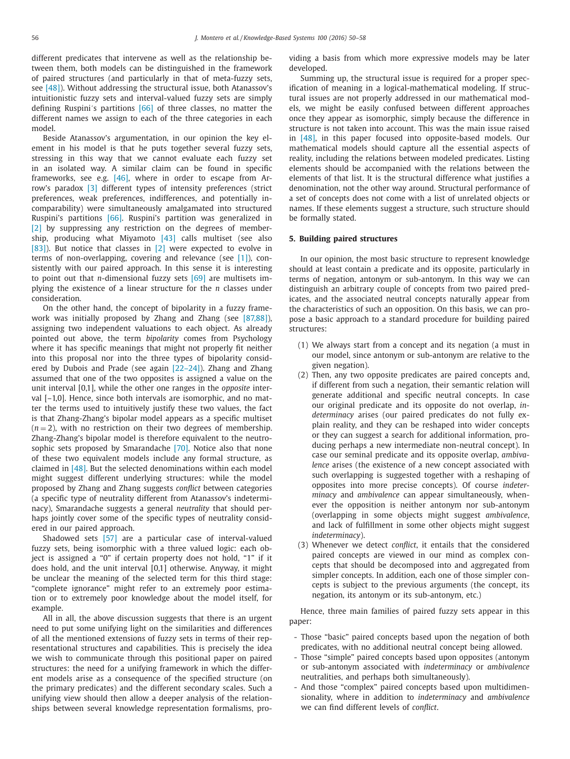<span id="page-6-0"></span>different predicates that intervene as well as the relationship between them, both models can be distinguished in the framework of paired structures (and particularly in that of meta-fuzzy sets, see [\[48\]\)](#page-8-0). Without addressing the structural issue, both Atanassov's intuitionistic fuzzy sets and interval-valued fuzzy sets are simply defining Ruspini's partitions [\[66\]](#page-8-0) of three classes, no matter the different names we assign to each of the three categories in each model.

Beside Atanassov's argumentation, in our opinion the key element in his model is that he puts together several fuzzy sets, stressing in this way that we cannot evaluate each fuzzy set in an isolated way. A similar claim can be found in specific frameworks, see e.g.  $[46]$ , where in order to escape from Arrow's paradox [\[3\]](#page-7-0) different types of intensity preferences (strict preferences, weak preferences, indifferences, and potentially incomparability) were simultaneously amalgamated into structured Ruspini's partitions [\[66\].](#page-8-0) Ruspini's partition was generalized in [\[2\]](#page-7-0) by suppressing any restriction on the degrees of membership, producing what Miyamoto [\[43\]](#page-8-0) calls multiset (see also [\[83\]\)](#page-8-0). But notice that classes in [\[2\]](#page-7-0) were expected to evolve in terms of non-overlapping, covering and relevance (see [\[1\]\)](#page-7-0), consistently with our paired approach. In this sense it is interesting to point out that *n*-dimensional fuzzy sets [\[69\]](#page-8-0) are multisets implying the existence of a linear structure for the *n* classes under consideration.

On the other hand, the concept of bipolarity in a fuzzy framework was initially proposed by Zhang and Zhang (see [\[87,88\]\)](#page-8-0), assigning two independent valuations to each object. As already pointed out above, the term *bipolarity* comes from Psychology where it has specific meanings that might not properly fit neither into this proposal nor into the three types of bipolarity considered by Dubois and Prade (see again [\[22–24\]\)](#page-8-0). Zhang and Zhang assumed that one of the two opposites is assigned a value on the unit interval [0,1], while the other one ranges in the *opposite* interval  $[-1,0]$ . Hence, since both intervals are isomorphic, and no matter the terms used to intuitively justify these two values, the fact is that Zhang-Zhang's bipolar model appears as a specific multiset  $(n=2)$ , with no restriction on their two degrees of membership. Zhang-Zhang's bipolar model is therefore equivalent to the neutro-sophic sets proposed by Smarandache [\[70\].](#page-8-0) Notice also that none of these two equivalent models include any formal structure, as claimed in [\[48\].](#page-8-0) But the selected denominations within each model might suggest different underlying structures: while the model proposed by Zhang and Zhang suggests *conflict* between categories (a specific type of neutrality different from Atanassov's indeterminacy), Smarandache suggests a general *neutrality* that should perhaps jointly cover some of the specific types of neutrality considered in our paired approach.

Shadowed sets [\[57\]](#page-8-0) are a particular case of interval-valued fuzzy sets, being isomorphic with a three valued logic: each object is assigned a "0" if certain property does not hold, "1" if it does hold, and the unit interval [0,1] otherwise. Anyway, it might be unclear the meaning of the selected term for this third stage: "complete ignorance" might refer to an extremely poor estimation or to extremely poor knowledge about the model itself, for example.

All in all, the above discussion suggests that there is an urgent need to put some unifying light on the similarities and differences of all the mentioned extensions of fuzzy sets in terms of their representational structures and capabilities. This is precisely the idea we wish to communicate through this positional paper on paired structures: the need for a unifying framework in which the different models arise as a consequence of the specified structure (on the primary predicates) and the different secondary scales. Such a unifying view should then allow a deeper analysis of the relationships between several knowledge representation formalisms, providing a basis from which more expressive models may be later developed.

Summing up, the structural issue is required for a proper specification of meaning in a logical-mathematical modeling. If structural issues are not properly addressed in our mathematical models, we might be easily confused between different approaches once they appear as isomorphic, simply because the difference in structure is not taken into account. This was the main issue raised in [\[48\],](#page-8-0) in this paper focused into opposite-based models. Our mathematical models should capture all the essential aspects of reality, including the relations between modeled predicates. Listing elements should be accompanied with the relations between the elements of that list. It is the structural difference what justifies a denomination, not the other way around. Structural performance of a set of concepts does not come with a list of unrelated objects or names. If these elements suggest a structure, such structure should be formally stated.

#### **5. Building paired structures**

In our opinion, the most basic structure to represent knowledge should at least contain a predicate and its opposite, particularly in terms of negation, antonym or sub-antonym. In this way we can distinguish an arbitrary couple of concepts from two paired predicates, and the associated neutral concepts naturally appear from the characteristics of such an opposition. On this basis, we can propose a basic approach to a standard procedure for building paired structures:

- (1) We always start from a concept and its negation (a must in our model, since antonym or sub-antonym are relative to the given negation).
- (2) Then, any two opposite predicates are paired concepts and, if different from such a negation, their semantic relation will generate additional and specific neutral concepts. In case our original predicate and its opposite do not overlap, *indeterminacy* arises (our paired predicates do not fully explain reality, and they can be reshaped into wider concepts or they can suggest a search for additional information, producing perhaps a new intermediate non-neutral concept). In case our seminal predicate and its opposite overlap, *ambivalence* arises (the existence of a new concept associated with such overlapping is suggested together with a reshaping of opposites into more precise concepts). Of course *indeterminacy* and *ambivalence* can appear simultaneously, whenever the opposition is neither antonym nor sub-antonym (overlapping in some objects might suggest *ambivalence*, and lack of fulfillment in some other objects might suggest *indeterminacy*).
- (3) Whenever we detect *conflict*, it entails that the considered paired concepts are viewed in our mind as complex concepts that should be decomposed into and aggregated from simpler concepts. In addition, each one of those simpler concepts is subject to the previous arguments (the concept, its negation, its antonym or its sub-antonym, etc.)

Hence, three main families of paired fuzzy sets appear in this paper:

- Those "basic" paired concepts based upon the negation of both predicates, with no additional neutral concept being allowed.
- Those "simple" paired concepts based upon opposites (antonym or sub-antonym associated with *indeterminacy* or *ambivalence* neutralities, and perhaps both simultaneously).
- And those "complex" paired concepts based upon multidimensionality, where in addition to *indeterminacy* and *ambivalence* we can find different levels of *conflict*.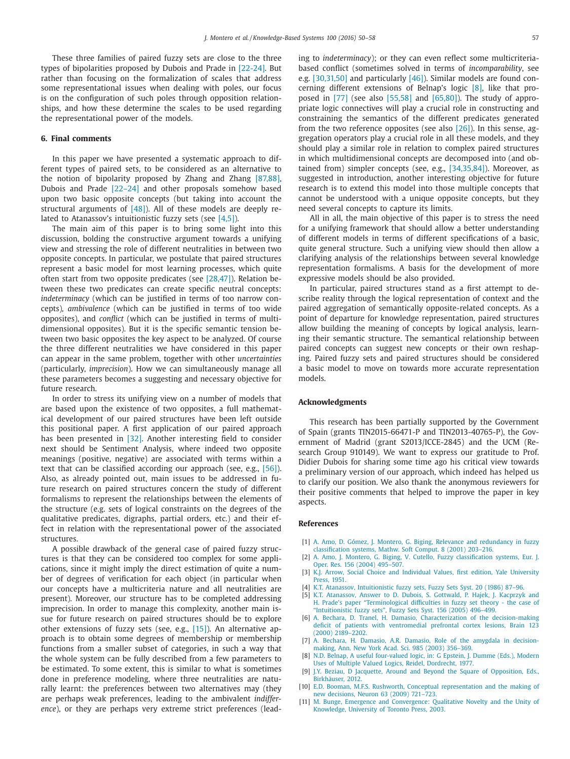<span id="page-7-0"></span>These three families of paired fuzzy sets are close to the three types of bipolarities proposed by Dubois and Prade in [\[22-24\].](#page-8-0) But rather than focusing on the formalization of scales that address some representational issues when dealing with poles, our focus is on the configuration of such poles through opposition relationships, and how these determine the scales to be used regarding the representational power of the models.

# **6. Final comments**

In this paper we have presented a systematic approach to different types of paired sets, to be considered as an alternative to the notion of bipolarity proposed by Zhang and Zhang [\[87,88\],](#page-8-0) Dubois and Prade [\[22–24\]](#page-8-0) and other proposals somehow based upon two basic opposite concepts (but taking into account the structural arguments of [\[48\]\)](#page-8-0). All of these models are deeply related to Atanassov's intuitionistic fuzzy sets (see [4,5]).

The main aim of this paper is to bring some light into this discussion, bolding the constructive argument towards a unifying view and stressing the role of different neutralities in between two opposite concepts. In particular, we postulate that paired structures represent a basic model for most learning processes, which quite often start from two opposite predicates (see [\[28,47\]\)](#page-8-0). Relation between these two predicates can create specific neutral concepts: *indeterminacy* (which can be justified in terms of too narrow concepts)*, ambivalence* (which can be justified in terms of too wide opposites), and *conflict* (which can be justified in terms of multidimensional opposites). But it is the specific semantic tension between two basic opposites the key aspect to be analyzed. Of course the three different neutralities we have considered in this paper can appear in the same problem, together with other *uncertainties* (particularly, *imprecision*). How we can simultaneously manage all these parameters becomes a suggesting and necessary objective for future research.

In order to stress its unifying view on a number of models that are based upon the existence of two opposites, a full mathematical development of our paired structures have been left outside this positional paper. A first application of our paired approach has been presented in [\[32\].](#page-8-0) Another interesting field to consider next should be Sentiment Analysis, where indeed two opposite meanings (positive, negative) are associated with terms within a text that can be classified according our approach (see, e.g., [\[56\]\)](#page-8-0). Also, as already pointed out, main issues to be addressed in future research on paired structures concern the study of different formalisms to represent the relationships between the elements of the structure (e.g. sets of logical constraints on the degrees of the qualitative predicates, digraphs, partial orders, etc.) and their effect in relation with the representational power of the associated structures.

A possible drawback of the general case of paired fuzzy structures is that they can be considered too complex for some applications, since it might imply the direct estimation of quite a number of degrees of verification for each object (in particular when our concepts have a multicriteria nature and all neutralities are present). Moreover, our structure has to be completed addressing imprecision. In order to manage this complexity, another main issue for future research on paired structures should be to explore other extensions of fuzzy sets (see, e.g., [\[15\]\)](#page-8-0). An alternative approach is to obtain some degrees of membership or membership functions from a smaller subset of categories, in such a way that the whole system can be fully described from a few parameters to be estimated. To some extent, this is similar to what is sometimes done in preference modeling, where three neutralities are naturally learnt: the preferences between two alternatives may (they are perhaps weak preferences, leading to the ambivalent *indifference*), or they are perhaps very extreme strict preferences (leading to *indeterminacy*); or they can even reflect some multicriteriabased conflict (sometimes solved in terms of *incomparability*, see e.g. [\[30,31,50\]](#page-8-0) and particularly [\[46\]\)](#page-8-0). Similar models are found concerning different extensions of Belnap's logic [8], like that proposed in [\[77\]](#page-8-0) (see also [\[55,58\]](#page-8-0) and [\[65,80\]\)](#page-8-0). The study of appropriate logic connectives will play a crucial role in constructing and constraining the semantics of the different predicates generated from the two reference opposites (see also  $[26]$ ). In this sense, aggregation operators play a crucial role in all these models, and they should play a similar role in relation to complex paired structures in which multidimensional concepts are decomposed into (and obtained from) simpler concepts (see, e.g., [\[34,35,84\]\)](#page-8-0). Moreover, as suggested in introduction, another interesting objective for future research is to extend this model into those multiple concepts that cannot be understood with a unique opposite concepts, but they need several concepts to capture its limits.

All in all, the main objective of this paper is to stress the need for a unifying framework that should allow a better understanding of different models in terms of different specifications of a basic, quite general structure. Such a unifying view should then allow a clarifying analysis of the relationships between several knowledge representation formalisms. A basis for the development of more expressive models should be also provided.

In particular, paired structures stand as a first attempt to describe reality through the logical representation of context and the paired aggregation of semantically opposite-related concepts. As a point of departure for knowledge representation, paired structures allow building the meaning of concepts by logical analysis, learning their semantic structure. The semantical relationship between paired concepts can suggest new concepts or their own reshaping. Paired fuzzy sets and paired structures should be considered a basic model to move on towards more accurate representation models.

#### **Acknowledgments**

This research has been partially supported by the Government of Spain (grants TIN2015-66471-P and TIN2013-40765-P), the Government of Madrid (grant S2013/ICCE-2845) and the UCM (Research Group 910149). We want to express our gratitude to Prof. Didier Dubois for sharing some time ago his critical view towards a preliminary version of our approach, which indeed has helped us to clarify our position. We also thank the anonymous reviewers for their positive comments that helped to improve the paper in key aspects.

#### **References**

- [1] A. [Amo,](http://refhub.elsevier.com/S0950-7051(16)00081-2/sbref0001) D. [Gómez,](http://refhub.elsevier.com/S0950-7051(16)00081-2/sbref0001) J. [Montero,](http://refhub.elsevier.com/S0950-7051(16)00081-2/sbref0001) G. [Biging,](http://refhub.elsevier.com/S0950-7051(16)00081-2/sbref0001) Relevance and redundancy in fuzzy [classification](http://refhub.elsevier.com/S0950-7051(16)00081-2/sbref0001) systems, Mathw. Soft Comput. 8 (2001) 203–216.
- [2] A. [Amo,](http://refhub.elsevier.com/S0950-7051(16)00081-2/sbref0002) J. [Montero,](http://refhub.elsevier.com/S0950-7051(16)00081-2/sbref0002) G. [Biging,](http://refhub.elsevier.com/S0950-7051(16)00081-2/sbref0002) V. [Cutello,](http://refhub.elsevier.com/S0950-7051(16)00081-2/sbref0002) Fuzzy [classification](http://refhub.elsevier.com/S0950-7051(16)00081-2/sbref0002) systems, Eur. J. Oper. Res. 156 (2004) 495–507.
- [3] K.J. [Arrow,](http://refhub.elsevier.com/S0950-7051(16)00081-2/sbref0003) Social Choice and Individual Values, first edition, Yale [University](http://refhub.elsevier.com/S0950-7051(16)00081-2/sbref0003) Press, 1951.
- [4] K.T. [Atanassov,](http://refhub.elsevier.com/S0950-7051(16)00081-2/sbref0004) [Intuitionistic](http://refhub.elsevier.com/S0950-7051(16)00081-2/sbref0004) fuzzy sets, Fuzzy Sets Syst. 20 (1986) 87–96.
- [5] K.T. [Atanassov,](http://refhub.elsevier.com/S0950-7051(16)00081-2/sbref0005) Answer to D. Dubois, S. Gottwald, P. Hajek, J. Kacprzyk and H. Prade's paper ["Terminological](http://refhub.elsevier.com/S0950-7051(16)00081-2/sbref0005) difficulties in fuzzy set theory - the case of "Intuitionistic fuzzy sets", Fuzzy Sets Syst. 156 (2005) 496–499.
- [6] A. [Bechara,](http://refhub.elsevier.com/S0950-7051(16)00081-2/sbref0006) D. [Tranel,](http://refhub.elsevier.com/S0950-7051(16)00081-2/sbref0006) H. [Damasio,](http://refhub.elsevier.com/S0950-7051(16)00081-2/sbref0006) Characterization of the [decision-making](http://refhub.elsevier.com/S0950-7051(16)00081-2/sbref0006) deficit of patients with ventromedial prefrontal cortex lesions, Brain 123 (2000) 2189–2202.
- [7] A. [Bechara,](http://refhub.elsevier.com/S0950-7051(16)00081-2/sbref0007) H. [Damasio,](http://refhub.elsevier.com/S0950-7051(16)00081-2/sbref0007) A.R. Damasio, Role of the [amygdala](http://refhub.elsevier.com/S0950-7051(16)00081-2/sbref0007) in decisionmaking, Ann. New York Acad. Sci. 985 (2003) 356–369.
- [8] N.D. [Belnap,](http://refhub.elsevier.com/S0950-7051(16)00081-2/sbref0008) A useful [four-valued](http://refhub.elsevier.com/S0950-7051(16)00081-2/sbref0008) logic, in: G Epstein, J. Dumme (Eds.), Modern Uses of Multiple Valued Logics, Reidel, Dordrecht, 1977.
- [9] J.Y. [Beziau,](http://refhub.elsevier.com/S0950-7051(16)00081-2/sbref0009) D [Jacquette,](http://refhub.elsevier.com/S0950-7051(16)00081-2/sbref0009) Around and Beyond the Square of [Opposition,](http://refhub.elsevier.com/S0950-7051(16)00081-2/sbref0009) Eds., Birkhäuser, 2012.
- [10] E.D. [Booman,](http://refhub.elsevier.com/S0950-7051(16)00081-2/sbref0010) M.F.S. [Rushworth,](http://refhub.elsevier.com/S0950-7051(16)00081-2/sbref0010) Conceptual [representation](http://refhub.elsevier.com/S0950-7051(16)00081-2/sbref0010) and the making of new decisions, Neuron 63 (2009) 721–723.
- [11] M. [Bunge,](http://refhub.elsevier.com/S0950-7051(16)00081-2/sbref0011) Emergence and [Convergence:](http://refhub.elsevier.com/S0950-7051(16)00081-2/sbref0011) Qualitative Novelty and the Unity of Knowledge, University of Toronto Press, 2003.